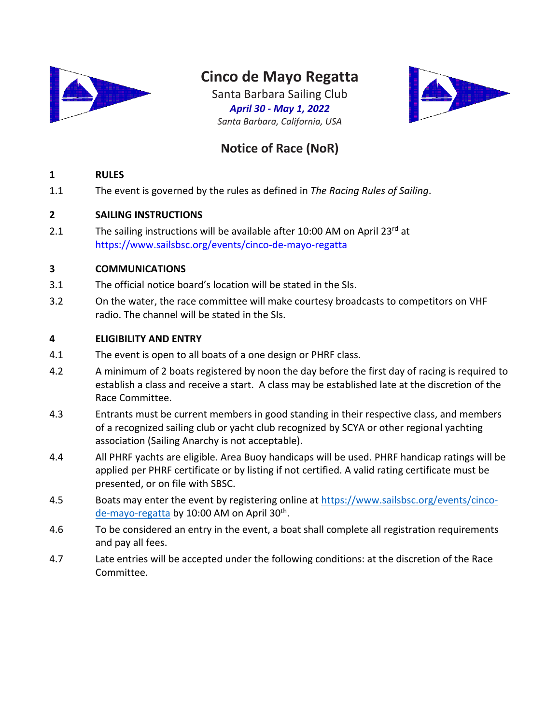

# **Cinco de Mayo Regatta**

Santa Barbara Sailing Club *April 30 - May 1, 2022 Santa Barbara, California, USA*



# **Notice of Race (NoR)**

# **1 RULES**

1.1 The event is governed by the rules as defined in *The Racing Rules of Sailing*.

# **2 SAILING INSTRUCTIONS**

2.1 The sailing instructions will be available after 10:00 AM on April 23rd at https://www.sailsbsc.org/events/cinco-de-mayo-regatta

# **3 COMMUNICATIONS**

- 3.1 The official notice board's location will be stated in the SIs.
- 3.2 On the water, the race committee will make courtesy broadcasts to competitors on VHF radio. The channel will be stated in the SIs.

# **4 ELIGIBILITY AND ENTRY**

- 4.1 The event is open to all boats of a one design or PHRF class.
- 4.2 A minimum of 2 boats registered by noon the day before the first day of racing is required to establish a class and receive a start. A class may be established late at the discretion of the Race Committee.
- 4.3 Entrants must be current members in good standing in their respective class, and members of a recognized sailing club or yacht club recognized by SCYA or other regional yachting association (Sailing Anarchy is not acceptable).
- 4.4 All PHRF yachts are eligible. Area Buoy handicaps will be used. PHRF handicap ratings will be applied per PHRF certificate or by listing if not certified. A valid rating certificate must be presented, or on file with SBSC.
- 4.5 Boats may enter the event by registering online at https://www.sailsbsc.org/events/cincode-mayo-regatta by 10:00 AM on April 30th.
- 4.6 To be considered an entry in the event, a boat shall complete all registration requirements and pay all fees.
- 4.7 Late entries will be accepted under the following conditions: at the discretion of the Race Committee.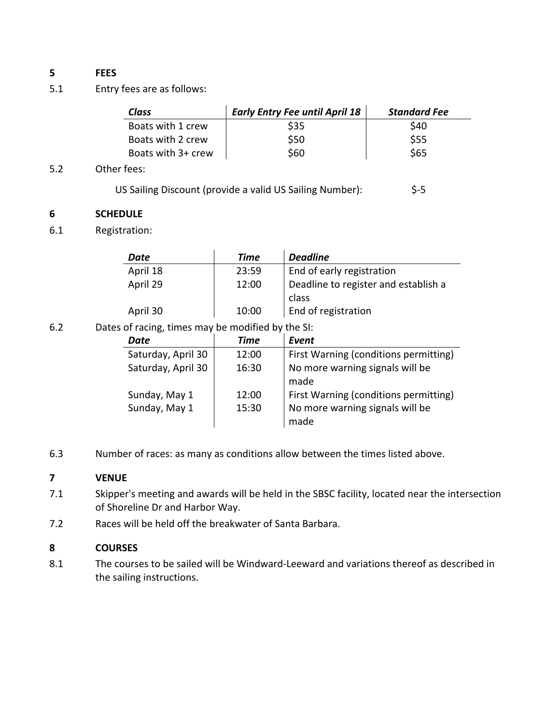# **5 FEES**

5.1 Entry fees are as follows:

| Class              | <b>Early Entry Fee until April 18</b> | <b>Standard Fee</b> |
|--------------------|---------------------------------------|---------------------|
| Boats with 1 crew  | S35                                   | \$40                |
| Boats with 2 crew  | \$50                                  | \$55                |
| Boats with 3+ crew | \$60                                  | \$65                |

#### 5.2 Other fees:

| US Sailing Discount (provide a valid US Sailing Number): | $$-5$ |
|----------------------------------------------------------|-------|
|----------------------------------------------------------|-------|

#### **6 SCHEDULE**

6.1 Registration:

| Date     | Time  | <b>Deadline</b>                      |
|----------|-------|--------------------------------------|
| April 18 | 23:59 | End of early registration            |
| April 29 | 12:00 | Deadline to register and establish a |
|          |       | class                                |
| April 30 | 10:00 | End of registration                  |

6.2 Dates of racing, times may be modified by the SI:

| Date               | <b>Time</b> | Event                                   |
|--------------------|-------------|-----------------------------------------|
| Saturday, April 30 | 12:00       | First Warning (conditions permitting)   |
| Saturday, April 30 | 16:30       | No more warning signals will be<br>made |
| Sunday, May 1      | 12:00       | First Warning (conditions permitting)   |
| Sunday, May 1      | 15:30       | No more warning signals will be<br>made |

6.3 Number of races: as many as conditions allow between the times listed above.

### **7 VENUE**

- 7.1 Skipper's meeting and awards will be held in the SBSC facility, located near the intersection of Shoreline Dr and Harbor Way.
- 7.2 Races will be held off the breakwater of Santa Barbara.

#### **8 COURSES**

8.1 The courses to be sailed will be Windward-Leeward and variations thereof as described in the sailing instructions.